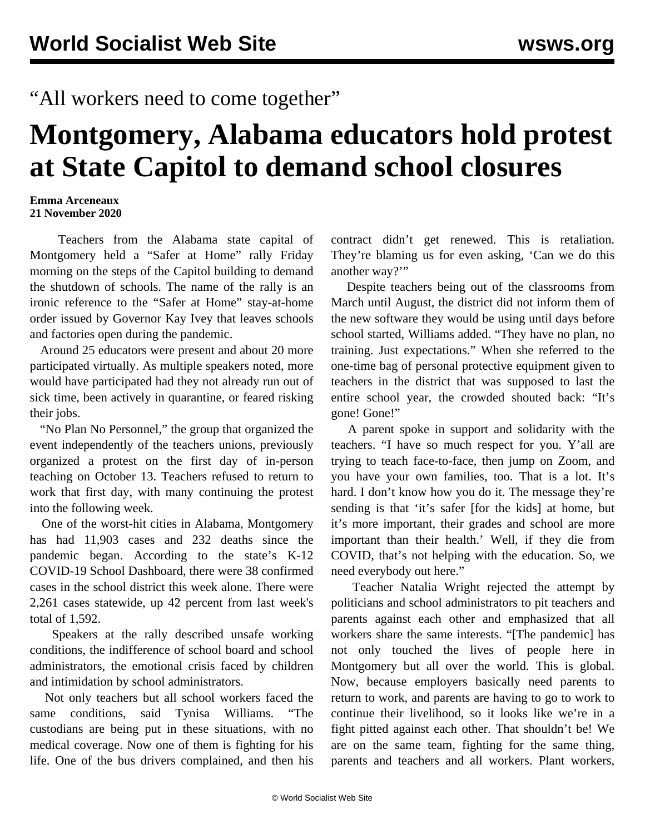## "All workers need to come together"

## **Montgomery, Alabama educators hold protest at State Capitol to demand school closures**

## **Emma Arceneaux 21 November 2020**

 Teachers from the Alabama state capital of Montgomery held a "Safer at Home" rally Friday morning on the steps of the Capitol building to demand the shutdown of schools. The name of the rally is an ironic reference to the "Safer at Home" stay-at-home order issued by Governor Kay Ivey that leaves schools and factories open during the pandemic.

 Around 25 educators were present and about 20 more participated virtually. As multiple speakers noted, more would have participated had they not already run out of sick time, been actively in quarantine, or feared risking their jobs.

 "No Plan No Personnel," the group that organized the event independently of the teachers unions, previously organized a protest on the first day of in-person teaching on October 13. Teachers refused to return to work that first day, with many continuing the protest into the following week.

 One of the worst-hit cities in Alabama, Montgomery has had 11,903 cases and 232 deaths since the pandemic began. According to the state's K-12 COVID-19 School Dashboard, there were 38 confirmed cases in the school district this week alone. There were 2,261 cases statewide, up 42 percent from last week's total of 1,592.

 Speakers at the rally described unsafe working conditions, the indifference of school board and school administrators, the emotional crisis faced by children and intimidation by school administrators.

 Not only teachers but all school workers faced the same conditions, said Tynisa Williams. "The custodians are being put in these situations, with no medical coverage. Now one of them is fighting for his life. One of the bus drivers complained, and then his

contract didn't get renewed. This is retaliation. They're blaming us for even asking, 'Can we do this another way?"

 Despite teachers being out of the classrooms from March until August, the district did not inform them of the new software they would be using until days before school started, Williams added. "They have no plan, no training. Just expectations." When she referred to the one-time bag of personal protective equipment given to teachers in the district that was supposed to last the entire school year, the crowded shouted back: "It's gone! Gone!"

 A parent spoke in support and solidarity with the teachers. "I have so much respect for you. Y'all are trying to teach face-to-face, then jump on Zoom, and you have your own families, too. That is a lot. It's hard. I don't know how you do it. The message they're sending is that 'it's safer [for the kids] at home, but it's more important, their grades and school are more important than their health.' Well, if they die from COVID, that's not helping with the education. So, we need everybody out here."

 Teacher Natalia Wright rejected the attempt by politicians and school administrators to pit teachers and parents against each other and emphasized that all workers share the same interests. "[The pandemic] has not only touched the lives of people here in Montgomery but all over the world. This is global. Now, because employers basically need parents to return to work, and parents are having to go to work to continue their livelihood, so it looks like we're in a fight pitted against each other. That shouldn't be! We are on the same team, fighting for the same thing, parents and teachers and all workers. Plant workers,